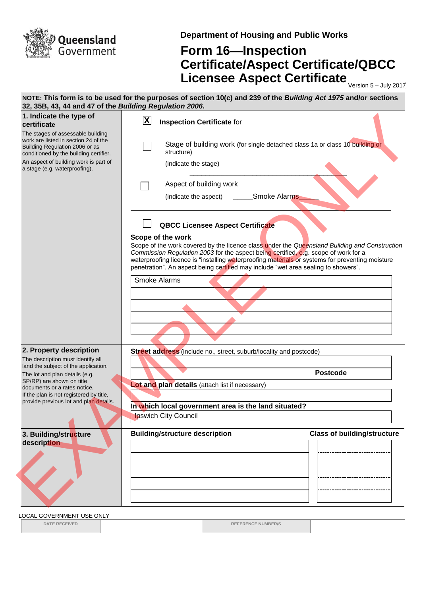

**Department of Housing and Public Works**

## **Form 16—Inspection Certificate/Aspect Certificate/QBCC Licensee Aspect Certificate** Mersion 5-July 2017

**NOTE: This form is to be used for the purposes of section 10(c) and 239 of the** *Building Act 1975* **and/or sections 32, 35B, 43, 44 and 47 of the** *Building Regulation 2006***. 1. Indicate the type of certificate** The stages of assessable building work are listed in section 24 of the Building Regulation 2006 or as conditioned by the building certifier. An aspect of building work is part of a stage (e.g. waterproofing). **Inspection Certificate** for Stage of building work (for single detached class 1a or class 10 building or structure) (indicate the stage)  $\overline{\phantom{a}}$  ,  $\overline{\phantom{a}}$  ,  $\overline{\phantom{a}}$  ,  $\overline{\phantom{a}}$  ,  $\overline{\phantom{a}}$  ,  $\overline{\phantom{a}}$  ,  $\overline{\phantom{a}}$  ,  $\overline{\phantom{a}}$  ,  $\overline{\phantom{a}}$  ,  $\overline{\phantom{a}}$  ,  $\overline{\phantom{a}}$  ,  $\overline{\phantom{a}}$  ,  $\overline{\phantom{a}}$  ,  $\overline{\phantom{a}}$  ,  $\overline{\phantom{a}}$  ,  $\overline{\phantom{a}}$ Aspect of building work (indicate the aspect) \_\_\_\_\_\_\_Smoke Alarms\_ **QBCC Licensee Aspect Certificate Scope of the work** Scope of the work covered by the licence class under the *Queensland Building and Construction Commission Regulation 2003* for the aspect being certified, e.g. scope of work for a waterproofing licence is "installing waterproofing materials or systems for preventing moisture penetration". An aspect being certified may include "wet area sealing to showers". Smoke Alarms **2. Property description** The description must identify all land the subject of the application. The lot and plan details (e.g. SP/RP) are shown on title documents or a rates notice. If the plan is not registered by title, provide previous lot and plan details. **Street address** (include no., street, suburb/locality and postcode) **Postcode Lot and plan details** (attach list if necessary) **In which local government area is the land situated?**  Ipswich City Council **3. Building/structure description Building/structure description Class of building/structure X** 1. Indicate the speed of building work are stated to the speed of the speed of the speed of the speed of the speed of the speed of the speed of the speed of the speed of the speed of the speed of the speed of the speed of

LOCAL GOVERNMENT USE ONLY